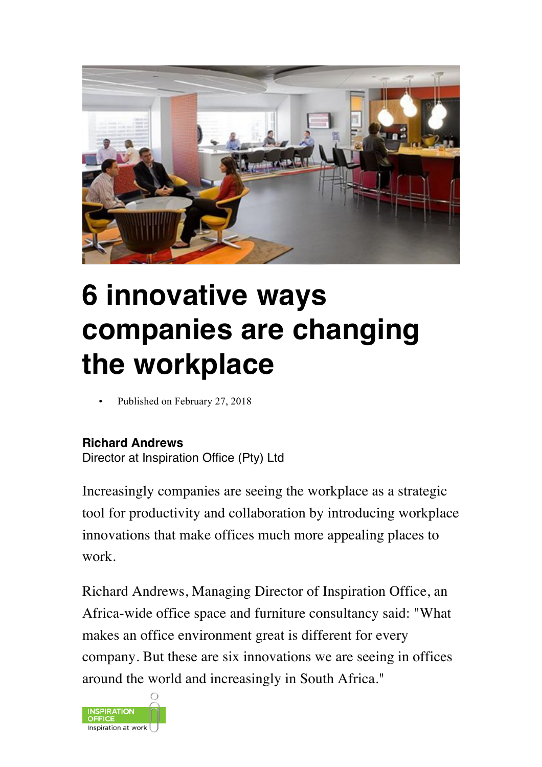

# **6 innovative ways companies are changing the workplace**

Published on February 27, 2018

#### **Richard Andrews**

Director at Inspiration Office (Pty) Ltd

Increasingly companies are seeing the workplace as a strategic tool for productivity and collaboration by introducing workplace innovations that make offices much more appealing places to work.

Richard Andrews, Managing Director of Inspiration Office, an Africa-wide office space and furniture consultancy said: "What makes an office environment great is different for every company. But these are six innovations we are seeing in offices around the world and increasingly in South Africa."

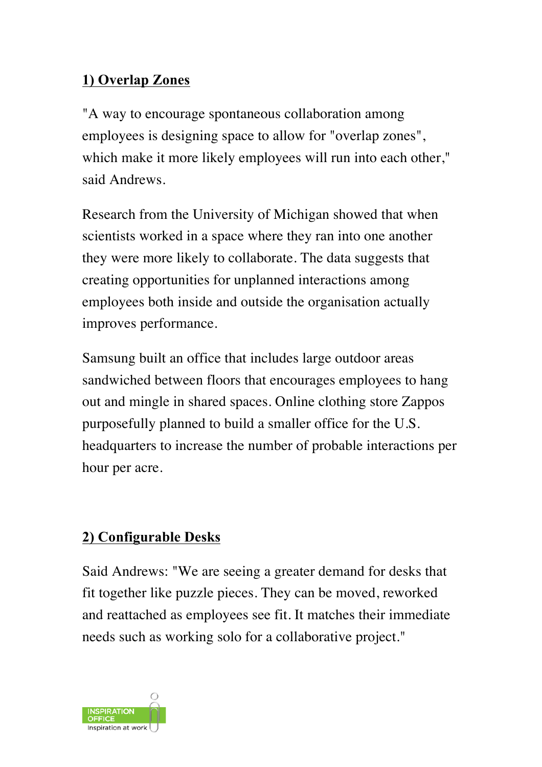#### **1) Overlap Zones**

"A way to encourage spontaneous collaboration among employees is designing space to allow for "overlap zones", which make it more likely employees will run into each other," said Andrews.

Research from the University of Michigan showed that when scientists worked in a space where they ran into one another they were more likely to collaborate. The data suggests that creating opportunities for unplanned interactions among employees both inside and outside the organisation actually improves performance.

Samsung built an office that includes large outdoor areas sandwiched between floors that encourages employees to hang out and mingle in shared spaces. Online clothing store Zappos purposefully planned to build a smaller office for the U.S. headquarters to increase the number of probable interactions per hour per acre.

#### **2) Configurable Desks**

Said Andrews: "We are seeing a greater demand for desks that fit together like puzzle pieces. They can be moved, reworked and reattached as employees see fit. It matches their immediate needs such as working solo for a collaborative project."

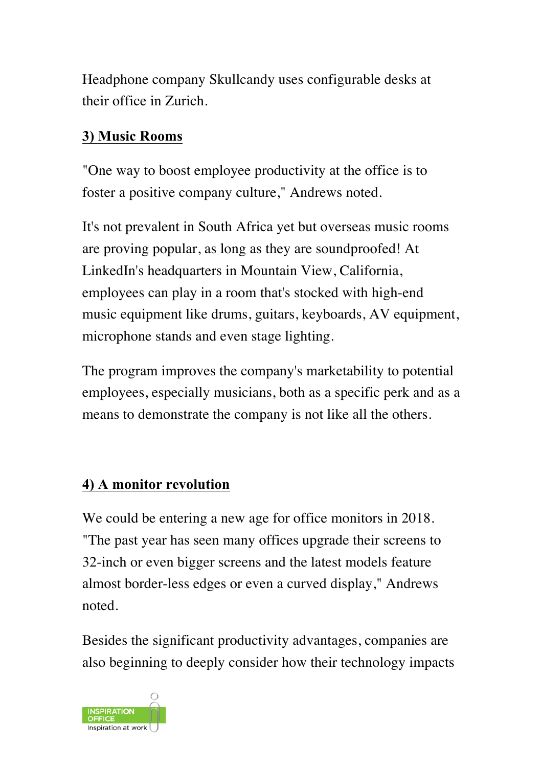Headphone company Skullcandy uses configurable desks at their office in Zurich.

#### **3) Music Rooms**

"One way to boost employee productivity at the office is to foster a positive company culture," Andrews noted.

It's not prevalent in South Africa yet but overseas music rooms are proving popular, as long as they are soundproofed! At LinkedIn's headquarters in Mountain View, California, employees can play in a room that's stocked with high-end music equipment like drums, guitars, keyboards, AV equipment, microphone stands and even stage lighting.

The program improves the company's marketability to potential employees, especially musicians, both as a specific perk and as a means to demonstrate the company is not like all the others.

### **4) A monitor revolution**

We could be entering a new age for office monitors in 2018. "The past year has seen many offices upgrade their screens to 32-inch or even bigger screens and the latest models feature almost border-less edges or even a curved display," Andrews noted.

Besides the significant productivity advantages, companies are also beginning to deeply consider how their technology impacts

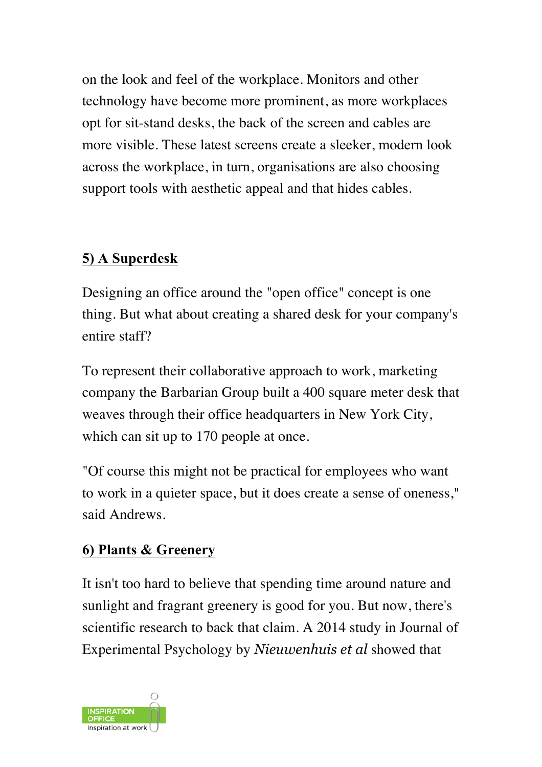on the look and feel of the workplace. Monitors and other technology have become more prominent, as more workplaces opt for sit-stand desks, the back of the screen and cables are more visible. These latest screens create a sleeker, modern look across the workplace, in turn, organisations are also choosing support tools with aesthetic appeal and that hides cables.

## **5) A Superdesk**

Designing an office around the "open office" concept is one thing. But what about creating a shared desk for your company's entire staff?

To represent their collaborative approach to work, marketing company the Barbarian Group built a 400 square meter desk that weaves through their office headquarters in New York City, which can sit up to 170 people at once.

"Of course this might not be practical for employees who want to work in a quieter space, but it does create a sense of oneness," said Andrews.

### **6) Plants & Greenery**

It isn't too hard to believe that spending time around nature and sunlight and fragrant greenery is good for you. But now, there's scientific research to back that claim. A 2014 study in Journal of Experimental Psychology by *Nieuwenhuis et al* showed that